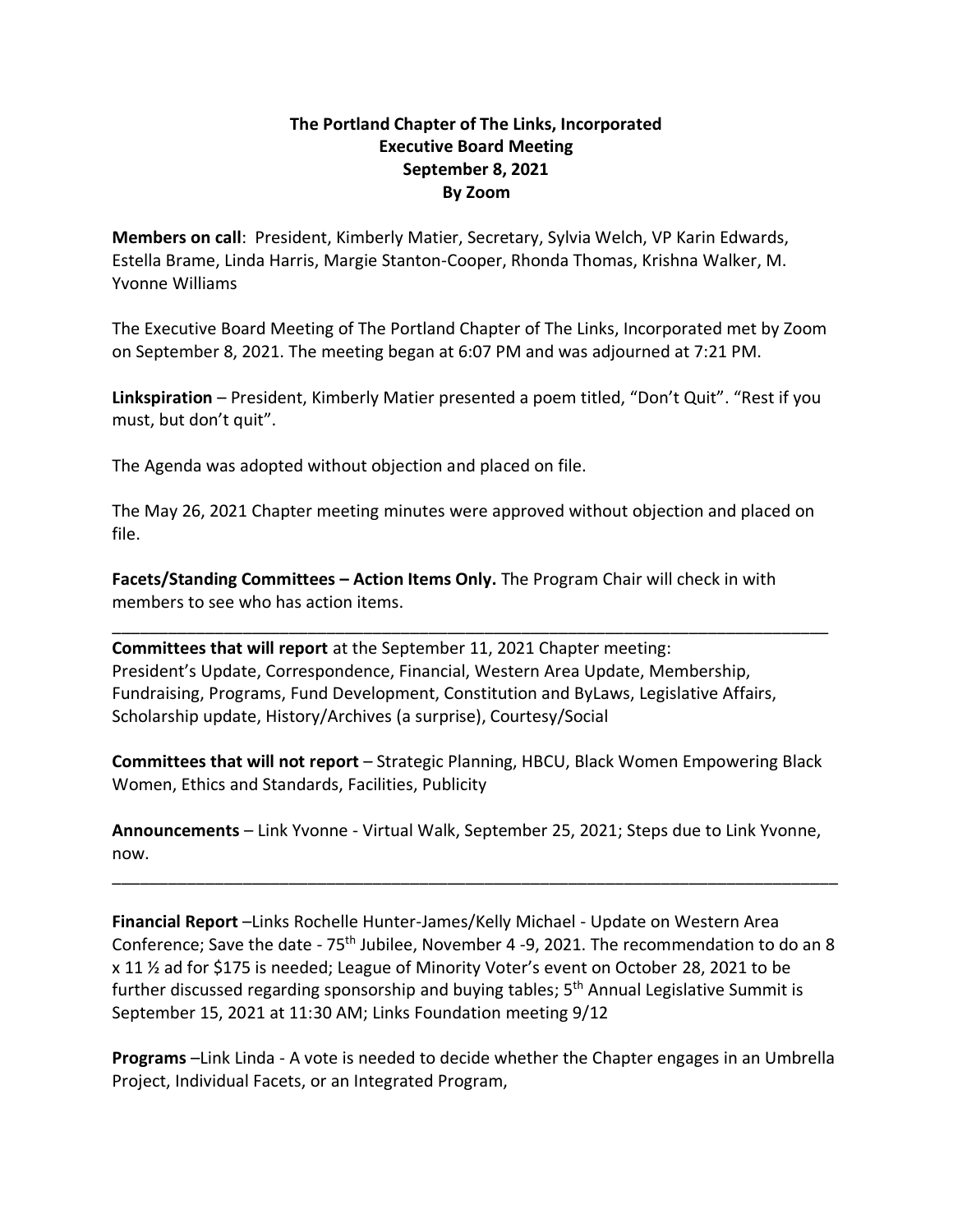## **The Portland Chapter of The Links, Incorporated Executive Board Meeting September 8, 2021 By Zoom**

**Members on call**: President, Kimberly Matier, Secretary, Sylvia Welch, VP Karin Edwards, Estella Brame, Linda Harris, Margie Stanton-Cooper, Rhonda Thomas, Krishna Walker, M. Yvonne Williams

The Executive Board Meeting of The Portland Chapter of The Links, Incorporated met by Zoom on September 8, 2021. The meeting began at 6:07 PM and was adjourned at 7:21 PM.

**Linkspiration** – President, Kimberly Matier presented a poem titled, "Don't Quit". "Rest if you must, but don't quit".

The Agenda was adopted without objection and placed on file.

The May 26, 2021 Chapter meeting minutes were approved without objection and placed on file.

\_\_\_\_\_\_\_\_\_\_\_\_\_\_\_\_\_\_\_\_\_\_\_\_\_\_\_\_\_\_\_\_\_\_\_\_\_\_\_\_\_\_\_\_\_\_\_\_\_\_\_\_\_\_\_\_\_\_\_\_\_\_\_\_\_\_\_\_\_\_\_\_\_\_\_\_\_

**Facets/Standing Committees – Action Items Only.** The Program Chair will check in with members to see who has action items.

**Committees that will report** at the September 11, 2021 Chapter meeting: President's Update, Correspondence, Financial, Western Area Update, Membership, Fundraising, Programs, Fund Development, Constitution and ByLaws, Legislative Affairs, Scholarship update, History/Archives (a surprise), Courtesy/Social

**Committees that will not report** – Strategic Planning, HBCU, Black Women Empowering Black Women, Ethics and Standards, Facilities, Publicity

**Announcements** – Link Yvonne - Virtual Walk, September 25, 2021; Steps due to Link Yvonne, now.

\_\_\_\_\_\_\_\_\_\_\_\_\_\_\_\_\_\_\_\_\_\_\_\_\_\_\_\_\_\_\_\_\_\_\_\_\_\_\_\_\_\_\_\_\_\_\_\_\_\_\_\_\_\_\_\_\_\_\_\_\_\_\_\_\_\_\_\_\_\_\_\_\_\_\_\_\_\_

**Financial Report** –Links Rochelle Hunter-James/Kelly Michael - Update on Western Area Conference; Save the date - 75th Jubilee, November 4 -9, 2021. The recommendation to do an 8 x 11 ½ ad for \$175 is needed; League of Minority Voter's event on October 28, 2021 to be further discussed regarding sponsorship and buying tables; 5<sup>th</sup> Annual Legislative Summit is September 15, 2021 at 11:30 AM; Links Foundation meeting 9/12

**Programs** –Link Linda - A vote is needed to decide whether the Chapter engages in an Umbrella Project, Individual Facets, or an Integrated Program,